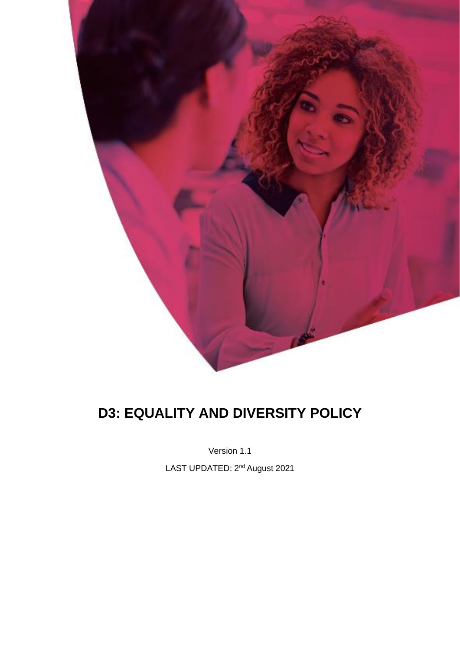

# **D3: EQUALITY AND DIVERSITY POLICY**

Version 1.1

LAST UPDATED: 2<sup>nd</sup> August 2021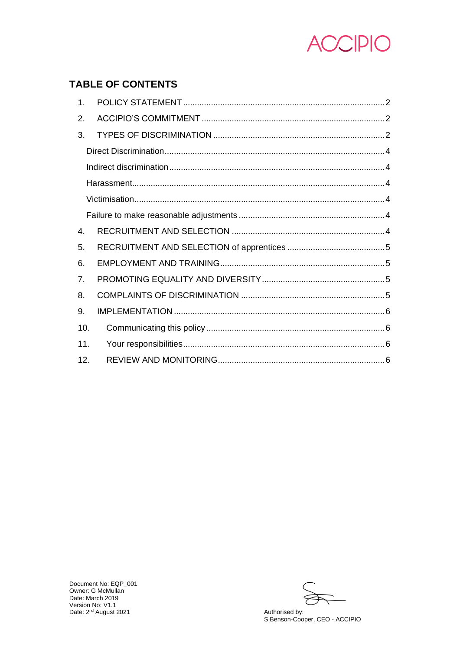

# **TABLE OF CONTENTS**

| $1_{-}$ |  |
|---------|--|
| 2.      |  |
| 3.      |  |
|         |  |
|         |  |
|         |  |
|         |  |
|         |  |
| 4.      |  |
| 5.      |  |
| 6.      |  |
| 7.      |  |
| 8.      |  |
| 9.      |  |
| 10.     |  |
| 11.     |  |
| 12.     |  |

Authorised by: S Benson-Cooper, CEO - ACCIPIO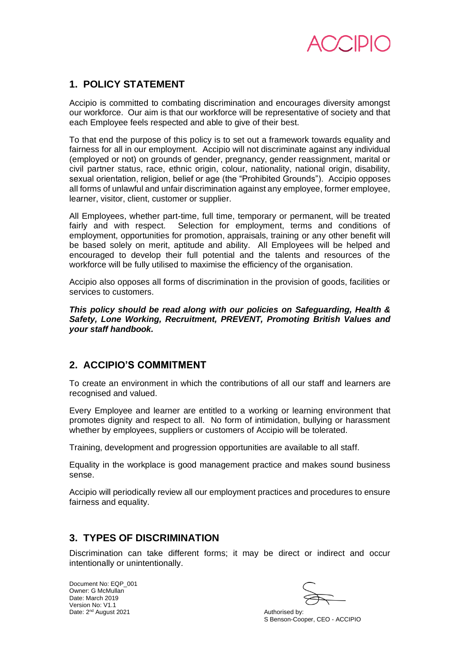

## **1. POLICY STATEMENT**

Accipio is committed to combating discrimination and encourages diversity amongst our workforce. Our aim is that our workforce will be representative of society and that each Employee feels respected and able to give of their best.

To that end the purpose of this policy is to set out a framework towards equality and fairness for all in our employment. Accipio will not discriminate against any individual (employed or not) on grounds of gender, pregnancy, gender reassignment, marital or civil partner status, race, ethnic origin, colour, nationality, national origin, disability, sexual orientation, religion, belief or age (the "Prohibited Grounds"). Accipio opposes all forms of unlawful and unfair discrimination against any employee, former employee, learner, visitor, client, customer or supplier.

All Employees, whether part-time, full time, temporary or permanent, will be treated fairly and with respect. Selection for employment, terms and conditions of employment, opportunities for promotion, appraisals, training or any other benefit will be based solely on merit, aptitude and ability. All Employees will be helped and encouraged to develop their full potential and the talents and resources of the workforce will be fully utilised to maximise the efficiency of the organisation.

Accipio also opposes all forms of discrimination in the provision of goods, facilities or services to customers.

*This policy should be read along with our policies on Safeguarding, Health & Safety, Lone Working, Recruitment, PREVENT, Promoting British Values and your staff handbook.*

## **2. ACCIPIO'S COMMITMENT**

To create an environment in which the contributions of all our staff and learners are recognised and valued.

Every Employee and learner are entitled to a working or learning environment that promotes dignity and respect to all. No form of intimidation, bullying or harassment whether by employees, suppliers or customers of Accipio will be tolerated.

Training, development and progression opportunities are available to all staff.

Equality in the workplace is good management practice and makes sound business sense.

Accipio will periodically review all our employment practices and procedures to ensure fairness and equality.

# **3. TYPES OF DISCRIMINATION**

Discrimination can take different forms; it may be direct or indirect and occur intentionally or unintentionally.

S Benson-Cooper, CEO - ACCIPIO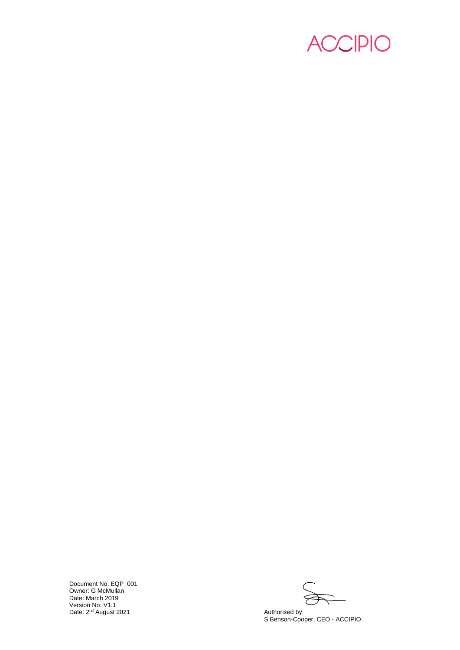

S Benson -Cooper, CEO - ACCIPIO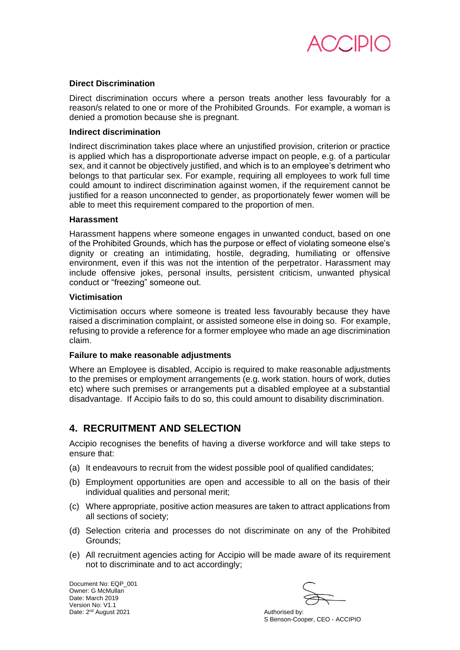

## **Direct Discrimination**

Direct discrimination occurs where a person treats another less favourably for a reason/s related to one or more of the Prohibited Grounds. For example, a woman is denied a promotion because she is pregnant.

## **Indirect discrimination**

Indirect discrimination takes place where an unjustified provision, criterion or practice is applied which has a disproportionate adverse impact on people, e.g. of a particular sex, and it cannot be objectively justified, and which is to an employee's detriment who belongs to that particular sex. For example, requiring all employees to work full time could amount to indirect discrimination against women, if the requirement cannot be justified for a reason unconnected to gender, as proportionately fewer women will be able to meet this requirement compared to the proportion of men.

## **Harassment**

Harassment happens where someone engages in unwanted conduct, based on one of the Prohibited Grounds, which has the purpose or effect of violating someone else's dignity or creating an intimidating, hostile, degrading, humiliating or offensive environment, even if this was not the intention of the perpetrator. Harassment may include offensive jokes, personal insults, persistent criticism, unwanted physical conduct or "freezing" someone out.

#### **Victimisation**

Victimisation occurs where someone is treated less favourably because they have raised a discrimination complaint, or assisted someone else in doing so. For example, refusing to provide a reference for a former employee who made an age discrimination claim.

## **Failure to make reasonable adjustments**

Where an Employee is disabled, Accipio is required to make reasonable adjustments to the premises or employment arrangements (e.g. work station. hours of work, duties etc) where such premises or arrangements put a disabled employee at a substantial disadvantage. If Accipio fails to do so, this could amount to disability discrimination.

## **4. RECRUITMENT AND SELECTION**

Accipio recognises the benefits of having a diverse workforce and will take steps to ensure that:

- (a) It endeavours to recruit from the widest possible pool of qualified candidates;
- (b) Employment opportunities are open and accessible to all on the basis of their individual qualities and personal merit;
- (c) Where appropriate, positive action measures are taken to attract applications from all sections of society;
- (d) Selection criteria and processes do not discriminate on any of the Prohibited Grounds;
- (e) All recruitment agencies acting for Accipio will be made aware of its requirement not to discriminate and to act accordingly;

S Benson-Cooper, CEO - ACCIPIO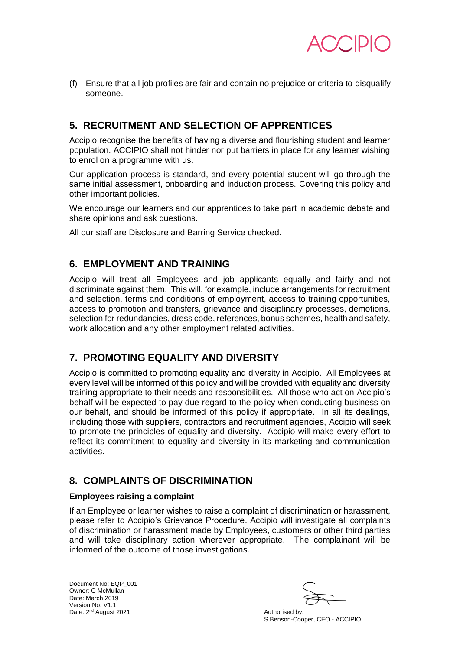

(f) Ensure that all job profiles are fair and contain no prejudice or criteria to disqualify someone.

# **5. RECRUITMENT AND SELECTION OF APPRENTICES**

Accipio recognise the benefits of having a diverse and flourishing student and learner population. ACCIPIO shall not hinder nor put barriers in place for any learner wishing to enrol on a programme with us.

Our application process is standard, and every potential student will go through the same initial assessment, onboarding and induction process. Covering this policy and other important policies.

We encourage our learners and our apprentices to take part in academic debate and share opinions and ask questions.

All our staff are Disclosure and Barring Service checked.

## **6. EMPLOYMENT AND TRAINING**

Accipio will treat all Employees and job applicants equally and fairly and not discriminate against them. This will, for example, include arrangements for recruitment and selection, terms and conditions of employment, access to training opportunities, access to promotion and transfers, grievance and disciplinary processes, demotions, selection for redundancies, dress code, references, bonus schemes, health and safety, work allocation and any other employment related activities.

# **7. PROMOTING EQUALITY AND DIVERSITY**

Accipio is committed to promoting equality and diversity in Accipio. All Employees at every level will be informed of this policy and will be provided with equality and diversity training appropriate to their needs and responsibilities. All those who act on Accipio's behalf will be expected to pay due regard to the policy when conducting business on our behalf, and should be informed of this policy if appropriate. In all its dealings, including those with suppliers, contractors and recruitment agencies, Accipio will seek to promote the principles of equality and diversity. Accipio will make every effort to reflect its commitment to equality and diversity in its marketing and communication activities.

# **8. COMPLAINTS OF DISCRIMINATION**

## **Employees raising a complaint**

If an Employee or learner wishes to raise a complaint of discrimination or harassment, please refer to Accipio's Grievance Procedure. Accipio will investigate all complaints of discrimination or harassment made by Employees, customers or other third parties and will take disciplinary action wherever appropriate. The complainant will be informed of the outcome of those investigations.

S Benson-Cooper, CEO - ACCIPIO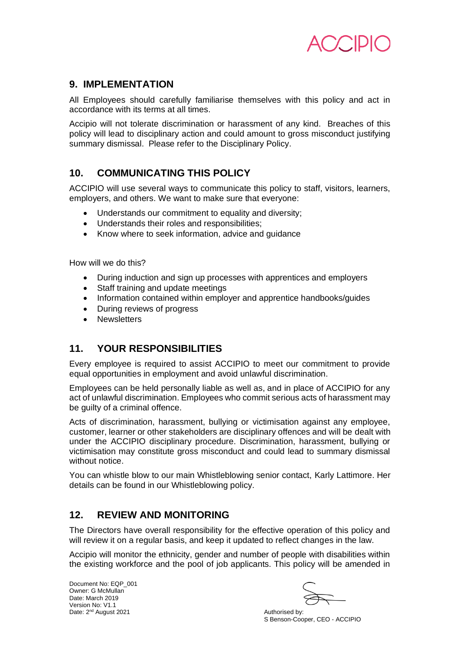

## **9. IMPLEMENTATION**

All Employees should carefully familiarise themselves with this policy and act in accordance with its terms at all times.

Accipio will not tolerate discrimination or harassment of any kind. Breaches of this policy will lead to disciplinary action and could amount to gross misconduct justifying summary dismissal. Please refer to the Disciplinary Policy.

# **10. COMMUNICATING THIS POLICY**

ACCIPIO will use several ways to communicate this policy to staff, visitors, learners, employers, and others. We want to make sure that everyone:

- Understands our commitment to equality and diversity;
- Understands their roles and responsibilities;
- Know where to seek information, advice and guidance

How will we do this?

- During induction and sign up processes with apprentices and employers
- Staff training and update meetings
- Information contained within employer and apprentice handbooks/guides
- During reviews of progress
- **Newsletters**

# **11. YOUR RESPONSIBILITIES**

Every employee is required to assist ACCIPIO to meet our commitment to provide equal opportunities in employment and avoid unlawful discrimination.

Employees can be held personally liable as well as, and in place of ACCIPIO for any act of unlawful discrimination. Employees who commit serious acts of harassment may be quilty of a criminal offence.

Acts of discrimination, harassment, bullying or victimisation against any employee, customer, learner or other stakeholders are disciplinary offences and will be dealt with under the ACCIPIO disciplinary procedure. Discrimination, harassment, bullying or victimisation may constitute gross misconduct and could lead to summary dismissal without notice.

You can whistle blow to our main Whistleblowing senior contact, Karly Lattimore. Her details can be found in our Whistleblowing policy.

# **12. REVIEW AND MONITORING**

The Directors have overall responsibility for the effective operation of this policy and will review it on a regular basis, and keep it updated to reflect changes in the law.

Accipio will monitor the ethnicity, gender and number of people with disabilities within the existing workforce and the pool of job applicants. This policy will be amended in

S Benson-Cooper, CEO - ACCIPIO